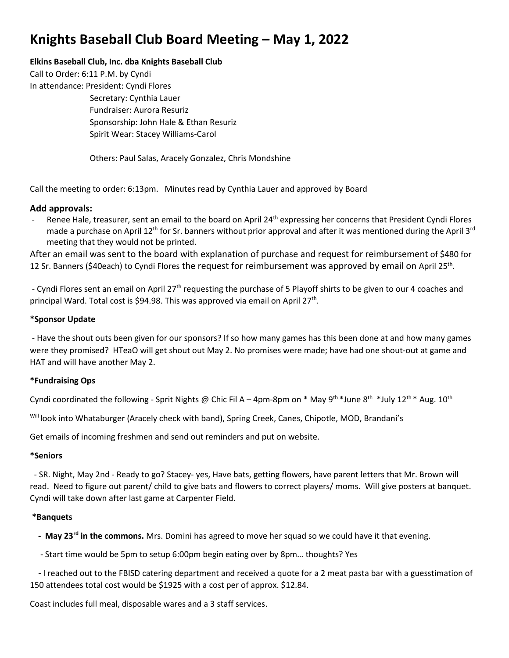# **Knights Baseball Club Board Meeting – May 1, 2022**

## **Elkins Baseball Club, Inc. dba Knights Baseball Club**

Call to Order: 6:11 P.M. by Cyndi In attendance: President: Cyndi Flores Secretary: Cynthia Lauer Fundraiser: Aurora Resuriz Sponsorship: John Hale & Ethan Resuriz Spirit Wear: Stacey Williams-Carol

Others: Paul Salas, Aracely Gonzalez, Chris Mondshine

Call the meeting to order: 6:13pm. Minutes read by Cynthia Lauer and approved by Board

## **Add approvals:**

Renee Hale, treasurer, sent an email to the board on April 24<sup>th</sup> expressing her concerns that President Cyndi Flores made a purchase on April 12<sup>th</sup> for Sr. banners without prior approval and after it was mentioned during the April 3<sup>rd</sup> meeting that they would not be printed.

After an email was sent to the board with explanation of purchase and request for reimbursement of \$480 for 12 Sr. Banners (\$40each) to Cyndi Flores the request for reimbursement was approved by email on April 25th.

- Cyndi Flores sent an email on April 27<sup>th</sup> requesting the purchase of 5 Playoff shirts to be given to our 4 coaches and principal Ward. Total cost is \$94.98. This was approved via email on April 27<sup>th</sup>.

## **\*Sponsor Update**

- Have the shout outs been given for our sponsors? If so how many games has this been done at and how many games were they promised? HTeaO will get shout out May 2. No promises were made; have had one shout-out at game and HAT and will have another May 2.

### **\*Fundraising Ops**

Cyndi coordinated the following - Sprit Nights @ Chic Fil A – 4pm-8pm on \* May 9<sup>th \*</sup>June 8<sup>th \*</sup>July 12<sup>th \*</sup> Aug. 10<sup>th</sup>

Will look into Whataburger (Aracely check with band), Spring Creek, Canes, Chipotle, MOD, Brandani's

Get emails of incoming freshmen and send out reminders and put on website.

### **\*Seniors**

 - SR. Night, May 2nd - Ready to go? Stacey- yes, Have bats, getting flowers, have parent letters that Mr. Brown will read. Need to figure out parent/ child to give bats and flowers to correct players/ moms. Will give posters at banquet. Cyndi will take down after last game at Carpenter Field.

### **\*Banquets**

 **- May 23rd in the commons.** Mrs. Domini has agreed to move her squad so we could have it that evening.

- Start time would be 5pm to setup 6:00pm begin eating over by 8pm… thoughts? Yes

 **-** I reached out to the FBISD catering department and received a quote for a 2 meat pasta bar with a guesstimation of 150 attendees total cost would be \$1925 with a cost per of approx. \$12.84.

Coast includes full meal, disposable wares and a 3 staff services.